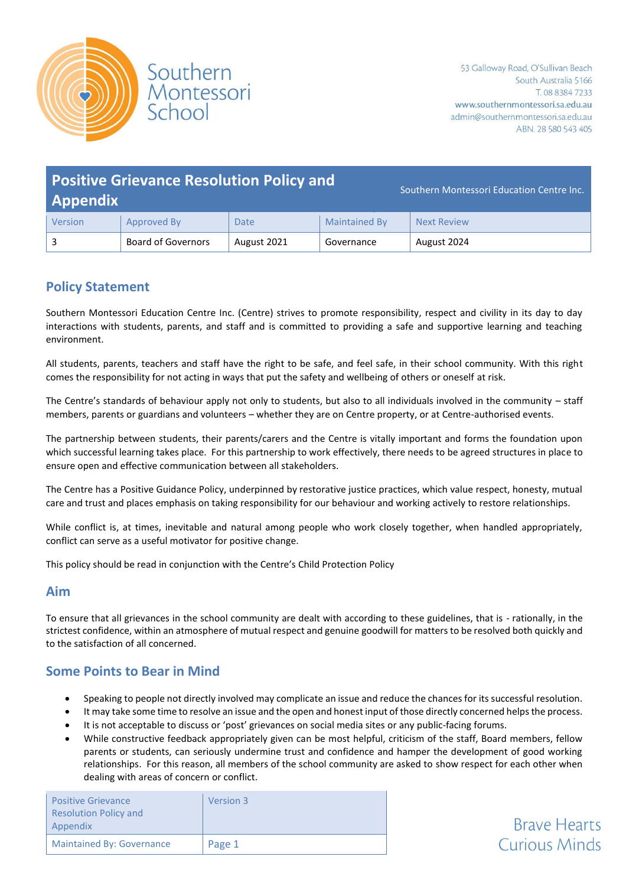

**Brave Hearts Curious Minds** 

| <b>Positive Grievance Resolution Policy and</b><br><b>Appendix</b> |                           |             |                      | Southern Montessori Education Centre Inc. |
|--------------------------------------------------------------------|---------------------------|-------------|----------------------|-------------------------------------------|
| Version                                                            | Approved By               | <b>Date</b> | <b>Maintained By</b> | <b>Next Review</b>                        |
|                                                                    | <b>Board of Governors</b> | August 2021 | Governance           | August 2024                               |

# **Policy Statement**

Southern Montessori Education Centre Inc. (Centre) strives to promote responsibility, respect and civility in its day to day interactions with students, parents, and staff and is committed to providing a safe and supportive learning and teaching environment.

All students, parents, teachers and staff have the right to be safe, and feel safe, in their school community. With this right comes the responsibility for not acting in ways that put the safety and wellbeing of others or oneself at risk.

The Centre's standards of behaviour apply not only to students, but also to all individuals involved in the community – staff members, parents or guardians and volunteers – whether they are on Centre property, or at Centre-authorised events.

The partnership between students, their parents/carers and the Centre is vitally important and forms the foundation upon which successful learning takes place. For this partnership to work effectively, there needs to be agreed structures in place to ensure open and effective communication between all stakeholders.

The Centre has a Positive Guidance Policy, underpinned by restorative justice practices, which value respect, honesty, mutual care and trust and places emphasis on taking responsibility for our behaviour and working actively to restore relationships.

While conflict is, at times, inevitable and natural among people who work closely together, when handled appropriately, conflict can serve as a useful motivator for positive change.

This policy should be read in conjunction with the Centre's Child Protection Policy

### **Aim**

To ensure that all grievances in the school community are dealt with according to these guidelines, that is - rationally, in the strictest confidence, within an atmosphere of mutual respect and genuine goodwill for matters to be resolved both quickly and to the satisfaction of all concerned.

## **Some Points to Bear in Mind**

- Speaking to people not directly involved may complicate an issue and reduce the chances for its successful resolution.
- It may take some time to resolve an issue and the open and honest input of those directly concerned helps the process.
- It is not acceptable to discuss or 'post' grievances on social media sites or any public-facing forums.
- While constructive feedback appropriately given can be most helpful, criticism of the staff, Board members, fellow parents or students, can seriously undermine trust and confidence and hamper the development of good working relationships. For this reason, all members of the school community are asked to show respect for each other when dealing with areas of concern or conflict.

| <b>Positive Grievance</b><br><b>Resolution Policy and</b><br>Appendix | Version 3 |
|-----------------------------------------------------------------------|-----------|
| <b>Maintained By: Governance</b>                                      | Page 1    |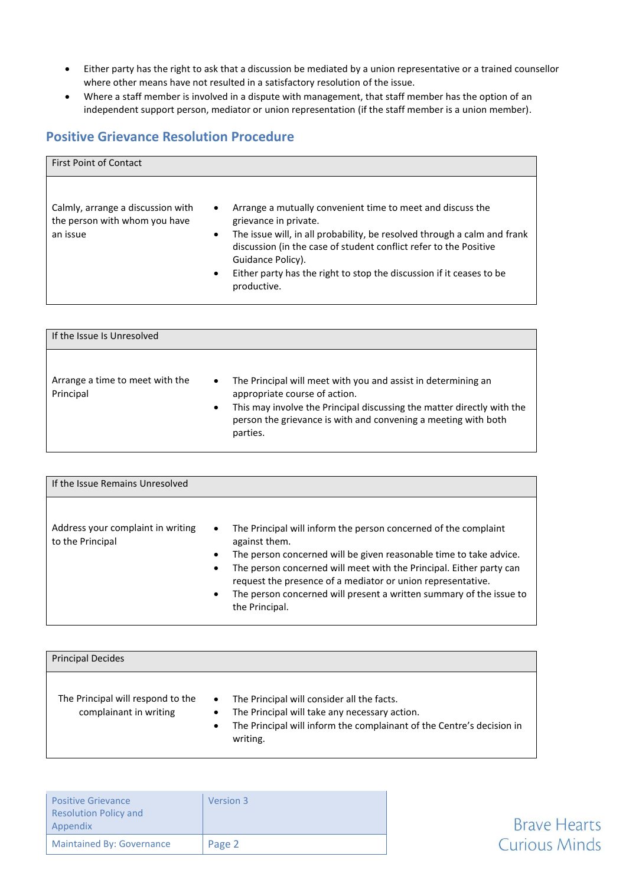- Either party has the right to ask that a discussion be mediated by a union representative or a trained counsellor where other means have not resulted in a satisfactory resolution of the issue.
- Where a staff member is involved in a dispute with management, that staff member has the option of an independent support person, mediator or union representation (if the staff member is a union member).

## **Positive Grievance Resolution Procedure**

| <b>First Point of Contact</b>                                                                                         |                                                                                                                                                                                                                                                                                                                                                  |
|-----------------------------------------------------------------------------------------------------------------------|--------------------------------------------------------------------------------------------------------------------------------------------------------------------------------------------------------------------------------------------------------------------------------------------------------------------------------------------------|
| Calmly, arrange a discussion with<br>$\bullet$<br>the person with whom you have<br>an issue<br>$\bullet$<br>$\bullet$ | Arrange a mutually convenient time to meet and discuss the<br>grievance in private.<br>The issue will, in all probability, be resolved through a calm and frank<br>discussion (in the case of student conflict refer to the Positive<br>Guidance Policy).<br>Either party has the right to stop the discussion if it ceases to be<br>productive. |

| If the Issue Is Unresolved                   |                                                                                                                                                                                                                                                                                  |
|----------------------------------------------|----------------------------------------------------------------------------------------------------------------------------------------------------------------------------------------------------------------------------------------------------------------------------------|
| Arrange a time to meet with the<br>Principal | The Principal will meet with you and assist in determining an<br>$\bullet$<br>appropriate course of action.<br>This may involve the Principal discussing the matter directly with the<br>$\bullet$<br>person the grievance is with and convening a meeting with both<br>parties. |

| If the Issue Remains Unresolved                       |                                                                                                                                                                                                                                                                                                                                                                                                                           |
|-------------------------------------------------------|---------------------------------------------------------------------------------------------------------------------------------------------------------------------------------------------------------------------------------------------------------------------------------------------------------------------------------------------------------------------------------------------------------------------------|
| Address your complaint in writing<br>to the Principal | The Principal will inform the person concerned of the complaint<br>$\bullet$<br>against them.<br>The person concerned will be given reasonable time to take advice.<br>$\bullet$<br>The person concerned will meet with the Principal. Either party can<br>٠<br>request the presence of a mediator or union representative.<br>The person concerned will present a written summary of the issue to<br>٠<br>the Principal. |

| <b>Principal Decides</b>                                    |                                                                                                                                                                                                                         |
|-------------------------------------------------------------|-------------------------------------------------------------------------------------------------------------------------------------------------------------------------------------------------------------------------|
| The Principal will respond to the<br>complainant in writing | The Principal will consider all the facts.<br>$\bullet$<br>The Principal will take any necessary action.<br>$\bullet$<br>The Principal will inform the complainant of the Centre's decision in<br>$\bullet$<br>writing. |

| <b>Positive Grievance</b><br><b>Resolution Policy and</b><br>Appendix | Version 3 |
|-----------------------------------------------------------------------|-----------|
| <b>Maintained By: Governance</b>                                      | Page 2    |

**Brave Hearts Curious Minds**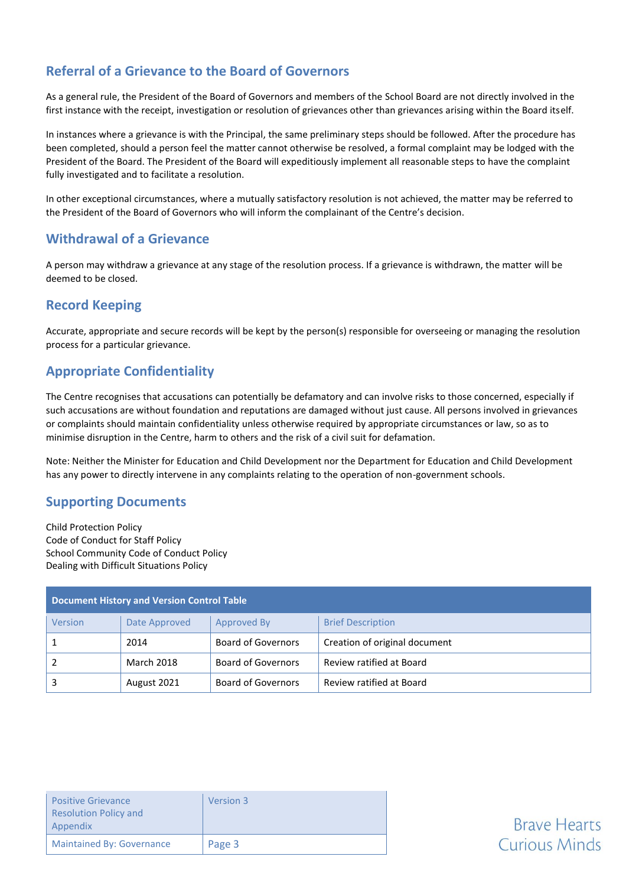# **Referral of a Grievance to the Board of Governors**

As a general rule, the President of the Board of Governors and members of the School Board are not directly involved in the first instance with the receipt, investigation or resolution of grievances other than grievances arising within the Board itself.

In instances where a grievance is with the Principal, the same preliminary steps should be followed. After the procedure has been completed, should a person feel the matter cannot otherwise be resolved, a formal complaint may be lodged with the President of the Board. The President of the Board will expeditiously implement all reasonable steps to have the complaint fully investigated and to facilitate a resolution.

In other exceptional circumstances, where a mutually satisfactory resolution is not achieved, the matter may be referred to the President of the Board of Governors who will inform the complainant of the Centre's decision.

### **Withdrawal of a Grievance**

A person may withdraw a grievance at any stage of the resolution process. If a grievance is withdrawn, the matter will be deemed to be closed.

## **Record Keeping**

Accurate, appropriate and secure records will be kept by the person(s) responsible for overseeing or managing the resolution process for a particular grievance.

## **Appropriate Confidentiality**

The Centre recognises that accusations can potentially be defamatory and can involve risks to those concerned, especially if such accusations are without foundation and reputations are damaged without just cause. All persons involved in grievances or complaints should maintain confidentiality unless otherwise required by appropriate circumstances or law, so as to minimise disruption in the Centre, harm to others and the risk of a civil suit for defamation.

Note: Neither the Minister for Education and Child Development nor the Department for Education and Child Development has any power to directly intervene in any complaints relating to the operation of non-government schools.

### **Supporting Documents**

Child Protection Policy Code of Conduct for Staff Policy School Community Code of Conduct Policy Dealing with Difficult Situations Policy

| <b>Document History and Version Control Table</b> |                   |                    |                               |
|---------------------------------------------------|-------------------|--------------------|-------------------------------|
| Version                                           | Date Approved     | Approved By        | <b>Brief Description</b>      |
|                                                   | 2014              | Board of Governors | Creation of original document |
|                                                   | <b>March 2018</b> | Board of Governors | Review ratified at Board      |
|                                                   | August 2021       | Board of Governors | Review ratified at Board      |

| <b>Positive Grievance</b><br><b>Resolution Policy and</b><br>Appendix | Version 3 |
|-----------------------------------------------------------------------|-----------|
| <b>Maintained By: Governance</b>                                      | Page 3    |

# **Brave Hearts Curious Minds**